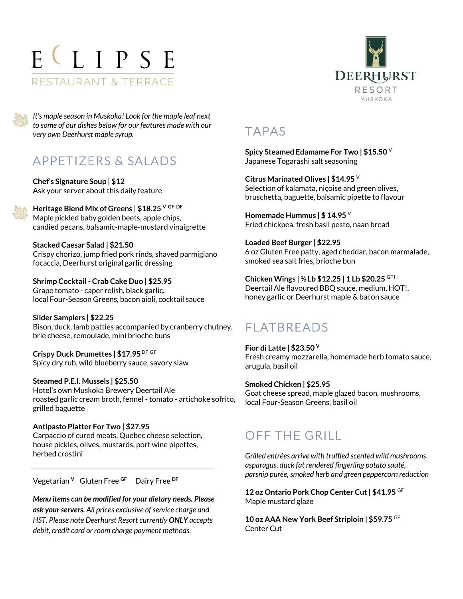# ELIPSE RESTAURANT & TERRACE



*It's maple season in Muskoka! Look for the maple leaf next to some of our dishes below for our features made with our very own Deerhurst maple syrup.*

## APPETIZERS & SALADS

**Chef's Signature Soup | \$12** Ask your server about this daily feature

**Heritage Blend Mix of Greens | \$18.25 V GF DF** Maple pickled baby golden beets, apple chips, candied pecans, balsamic-maple-mustard vinaigrette

**Stacked Caesar Salad | \$21.50** Crispy chorizo, jump fried pork rinds, shaved parmigiano focaccia, Deerhurst original garlic dressing

**Shrimp Cocktail - Crab Cake Duo | \$25.95** Grape tomato - caper relish, black garlic, local Four-Season Greens, bacon aioli, cocktail sauce

**Slider Samplers | \$22.25** Bison, duck, lamb patties accompanied by cranberry chutney, brie cheese, remoulade, mini brioche buns

**Crispy Duck Drumettes | \$17.95** DF GF Spicy dry rub, wild blueberry sauce, savory slaw

**Steamed P.E.I. Mussels | \$25.50** Hotel's own Muskoka Brewery Deertail Ale roasted garlic cream broth, fennel - tomato - artichoke sofrito, grilled baguette

**Antipasto Platter For Two | \$27.95** Carpaccio of cured meats, Quebec cheese selection, house pickles, olives, mustards, port wine pipettes, herbed crostini

Vegetarian **<sup>V</sup>**Gluten Free **GF** Dairy Free **DF** 

*Menu items can be modified for your dietary needs. Please ask your servers. All prices exclusive of service charge and HST. Please note Deerhurst Resort currently ONLY accepts debit, credit card or room charge payment methods.*

### TAPAS

**Spicy Steamed Edamame For Two | \$15.50** <sup>V</sup> Japanese Togarashi salt seasoning

**Citrus Marinated Olives | \$14.95** <sup>V</sup> Selection of kalamata, niçoise and green olives, bruschetta, baguette, balsamic pipette to flavour

**Homemade Hummus | \$ 14.95** <sup>V</sup> Fried chickpea, fresh basil pesto, naan bread

**Loaded Beef Burger | \$22.95** 6 oz Gluten Free patty, aged cheddar, bacon marmalade, smoked sea salt fries, brioche bun

**Chicken Wings | ½ Lb \$12.25 | 1 Lb \$20.25** GF <sup>H</sup> Deertail Ale flavoured BBQ sauce, medium, HOT!, honey garlic or Deerhurst maple & bacon sauce

# FLATBREADS

**Fior di Latte | \$23.50 <sup>V</sup>** Fresh creamy mozzarella, homemade herb tomato sauce, arugula, basil oil

**Smoked Chicken | \$25.95**  Goat cheese spread, maple glazed bacon, mushrooms, local Four-Season Greens, basil oil

## OFF THE GRILL

*Grilled entrées arrive with truffled scented wild mushrooms asparagus, duck fat rendered fingerling potato sauté, parsnip purée, smoked herb and green peppercorn reduction*

**12 oz Ontario Pork Chop Center Cut | \$41.95** GF Maple mustard glaze

**10 oz AAA New York Beef Striploin | \$59.75** GF Center Cut